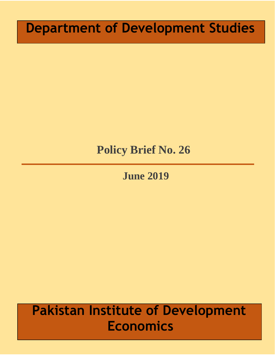# **Department of Development Studies**

# **Policy Brief No. 26**

**June 2019**

# **Pakistan Institute of Development Economics**